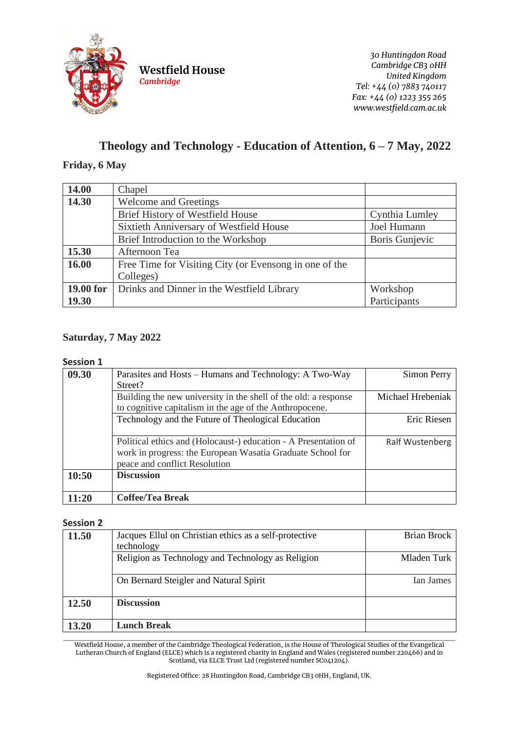

**Westfield House** *Cambridge*

*30 Huntingdon Road Cambridge CB3 0HH United Kingdom Tel: +44 (0) 7883 740117 Fax: +44 (0) 1223 355 265 www.westfield.cam.ac.uk*

# **Theology and Technology - Education of Attention, 6 – 7 May, 2022**

## **Friday, 6 May**

| 14.00     | Chapel                                                 |                |
|-----------|--------------------------------------------------------|----------------|
| 14.30     | <b>Welcome and Greetings</b>                           |                |
|           | Brief History of Westfield House                       | Cynthia Lumley |
|           | Sixtieth Anniversary of Westfield House                | Joel Humann    |
|           | Brief Introduction to the Workshop                     | Boris Gunjevic |
| 15.30     | Afternoon Tea                                          |                |
| 16.00     | Free Time for Visiting City (or Evensong in one of the |                |
|           | Colleges)                                              |                |
| 19.00 for | Drinks and Dinner in the Westfield Library             | Workshop       |
| 19.30     |                                                        | Participants   |

## **Saturday, 7 May 2022**

#### **Session 1**

| 09.30 | Parasites and Hosts – Humans and Technology: A Two-Way<br>Street?                                                                                              | Simon Perry       |
|-------|----------------------------------------------------------------------------------------------------------------------------------------------------------------|-------------------|
|       | Building the new university in the shell of the old: a response<br>to cognitive capitalism in the age of the Anthropocene.                                     | Michael Hrebeniak |
|       | Technology and the Future of Theological Education                                                                                                             | Eric Riesen       |
|       | Political ethics and (Holocaust-) education - A Presentation of<br>work in progress: the European Wasatia Graduate School for<br>peace and conflict Resolution | Ralf Wustenberg   |
| 10:50 | <b>Discussion</b>                                                                                                                                              |                   |
| 11:20 | <b>Coffee/Tea Break</b>                                                                                                                                        |                   |

## **Session 2**

| 11.50 | Jacques Ellul on Christian ethics as a self-protective<br>technology | Brian Brock |
|-------|----------------------------------------------------------------------|-------------|
|       | Religion as Technology and Technology as Religion                    | Mladen Turk |
|       | On Bernard Steigler and Natural Spirit                               | Ian James   |
| 12.50 | <b>Discussion</b>                                                    |             |
| 13.20 | <b>Lunch Break</b>                                                   |             |

 $\_$  , and the set of the set of the set of the set of the set of the set of the set of the set of the set of the set of the set of the set of the set of the set of the set of the set of the set of the set of the set of th Westfield House, a member of the Cambridge Theological Federation, is the House of Theological Studies of the Evangelical Lutheran Church of England (ELCE) which is a registered charity in England and Wales (registered number 220466) and in Scotland, via ELCE Trust Ltd (registered number SC041204).

Registered Office: 28 Huntingdon Road, Cambridge CB3 0HH, England, UK.